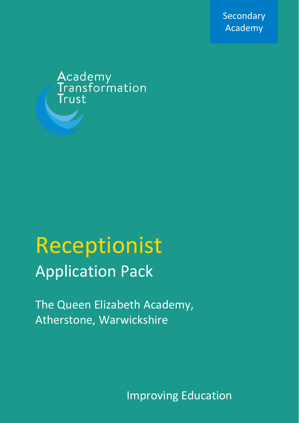Secondary Academy

Academy<br>Transformation Trust

# Receptionist Application Pack

The Queen Elizabeth Academy, Atherstone, Warwickshire

Improving Education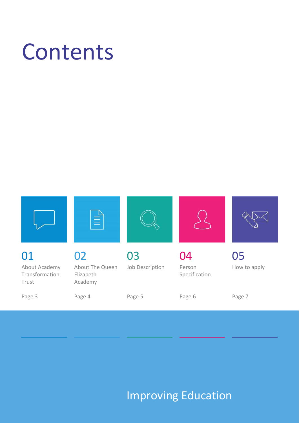# Contents



## Improving Education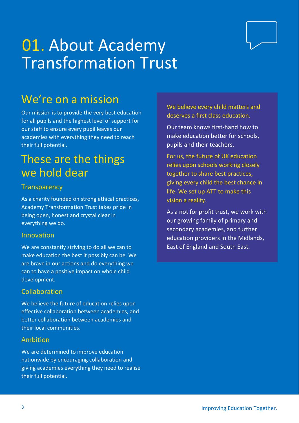## 01. About Academy Transformation Trust

## We're on a mission

Our mission is to provide the very best education for all pupils and the highest level of support for our staff to ensure every pupil leaves our academies with everything they need to reach their full potential.

## These are the things we hold dear

#### **Transparency**

As a charity founded on strong ethical practices, Academy Transformation Trust takes pride in being open, honest and crystal clear in everything we do.

#### Innovation

We are constantly striving to do all we can to make education the best it possibly can be. We are brave in our actions and do everything we can to have a positive impact on whole child development.

### Collaboration

We believe the future of education relies upon effective collaboration between academies, and better collaboration between academies and their local communities.

#### Ambition

We are determined to improve education nationwide by encouraging collaboration and giving academies everything they need to realise their full potential.

We believe every child matters and deserves a first class education.

Our team knows first-hand how to make education better for schools, pupils and their teachers.

For us, the future of UK education relies upon schools working closely together to share best practices, giving every child the best chance in life. We set up ATT to make this vision a reality.

As a not for profit trust, we work with our growing family of primary and secondary academies, and further education providers in the Midlands, East of England and South East.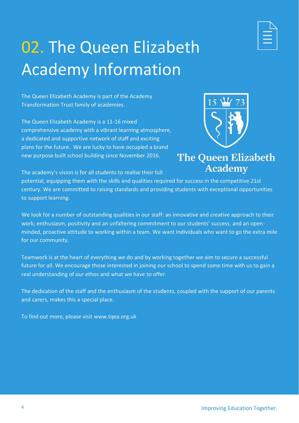

## 02. The Queen Elizabeth Academy Information

The Queen Elizabeth Academy is part of the Academy Transformation Trust family of academies.

The Queen Elizabeth Academy is a 11-16 mixed comprehensive academy with a vibrant learning atmosphere, a dedicated and supportive network of staff and exciting plans for the future. We are lucky to have occupied a brand new purpose built school building since November 2016.



## The Queen Elizabeth **Academy**

The academy's vision is for all students to realise their full

potential, equipping them with the skills and qualities required for success in the competitive 21st century. We are committed to raising standards and providing students with exceptional opportunities to support learning.

We look for a number of outstanding qualities in our staff: an innovative and creative approach to their work; enthusiasm, positivity and an unfaltering commitment to our students' success, and an openminded, proactive attitude to working within a team. We want individuals who want to go the extra mile for our community.

Teamwork is at the heart of everything we do and by working together we aim to secure a successful future for all. We encourage those interested in joining our school to spend some time with us to gain a real understanding of our ethos and what we have to offer.

The dedication of the staff and the enthusiasm of the students, coupled with the support of our parents and carers, makes this a special place.

To find out more, please visit www.tqea.org.uk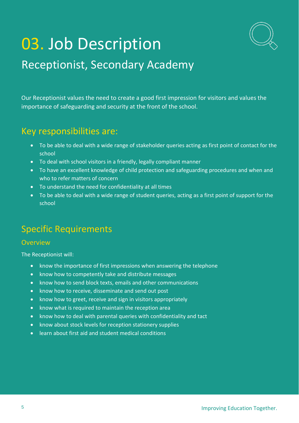

## 03. Job Description

## Receptionist, Secondary Academy

Our Receptionist values the need to create a good first impression for visitors and values the importance of safeguarding and security at the front of the school.

### Key responsibilities are:

- To be able to deal with a wide range of stakeholder queries acting as first point of contact for the school
- To deal with school visitors in a friendly, legally compliant manner
- To have an excellent knowledge of child protection and safeguarding procedures and when and who to refer matters of concern
- To understand the need for confidentiality at all times
- To be able to deal with a wide range of student queries, acting as a first point of support for the school

## Specific Requirements

#### **Overview**

The Receptionist will:

- know the importance of first impressions when answering the telephone
- know how to competently take and distribute messages
- know how to send block texts, emails and other communications
- know how to receive, disseminate and send out post
- know how to greet, receive and sign in visitors appropriately
- know what is required to maintain the reception area
- know how to deal with parental queries with confidentiality and tact
- know about stock levels for reception stationery supplies
- learn about first aid and student medical conditions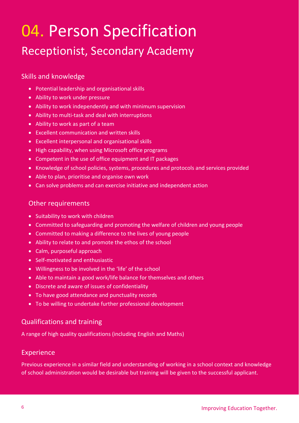## 04. Person Specification Receptionist, Secondary Academy

### Skills and knowledge

- Potential leadership and organisational skills
- Ability to work under pressure
- Ability to work independently and with minimum supervision
- Ability to multi-task and deal with interruptions
- Ability to work as part of a team
- Excellent communication and written skills
- Excellent interpersonal and organisational skills
- High capability, when using Microsoft office programs
- Competent in the use of office equipment and IT packages
- Knowledge of school policies, systems, procedures and protocols and services provided
- Able to plan, prioritise and organise own work
- Can solve problems and can exercise initiative and independent action

#### Other requirements

- Suitability to work with children
- Committed to safeguarding and promoting the welfare of children and young people
- Committed to making a difference to the lives of young people
- Ability to relate to and promote the ethos of the school
- Calm, purposeful approach
- Self-motivated and enthusiastic
- Willingness to be involved in the 'life' of the school
- Able to maintain a good work/life balance for themselves and others
- Discrete and aware of issues of confidentiality
- To have good attendance and punctuality records
- To be willing to undertake further professional development

### Qualifications and training

A range of high quality qualifications (including English and Maths)

### Experience

Previous experience in a similar field and understanding of working in a school context and knowledge of school administration would be desirable but training will be given to the successful applicant.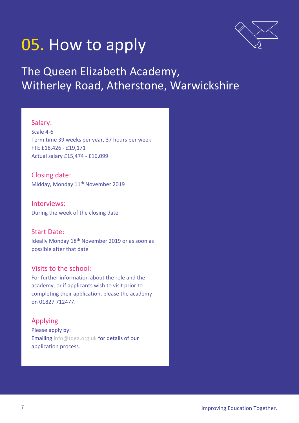

## 05. How to apply

## The Queen Elizabeth Academy, Witherley Road, Atherstone, Warwickshire

#### Salary:

Scale 4-6 Term time 39 weeks per year, 37 hours per week FTE £18,426 - £19,171 Actual salary £15,474 - £16,099

Closing date: Midday, Monday 11<sup>th</sup> November 2019

Interviews: During the week of the closing date

Start Date: Ideally Monday 18th November 2019 or as soon as possible after that date

#### Visits to the school:

For further information about the role and the academy, or if applicants wish to visit prior to completing their application, please the academy on 01827 712477.

### Applying

Please apply by: Emailing [info@tqea.org.uk](mailto:info@tqea.org.uk) for details of our application process.